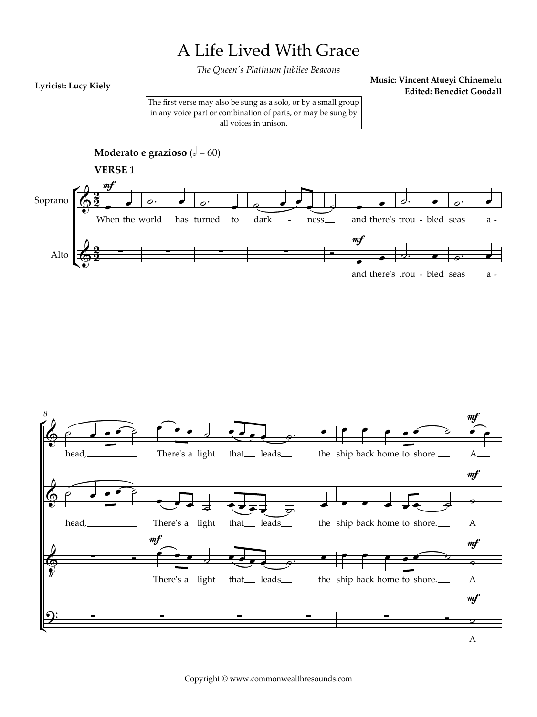## A Life Lived With Grace

The Queen's Platinum Jubilee Beacons

## Lyricist: Lucy Kiely

Music: Vincent Atueyi Chinemelu **Edited: Benedict Goodall** 

The first verse may also be sung as a solo, or by a small group in any voice part or combination of parts, or may be sung by all voices in unison.



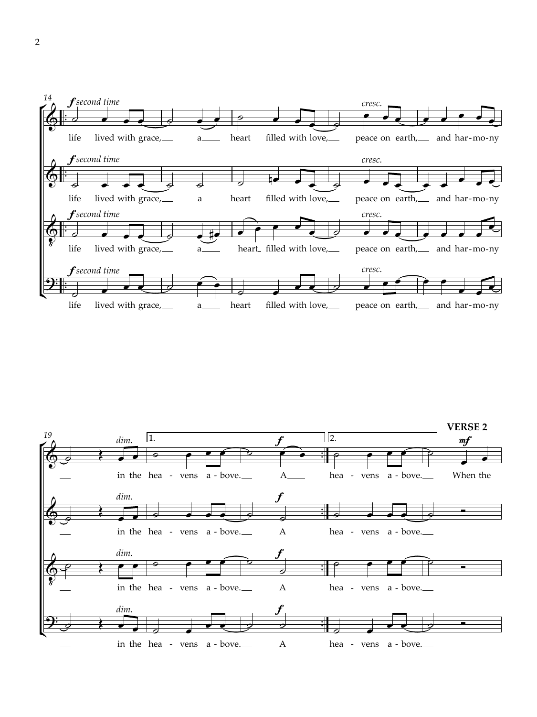

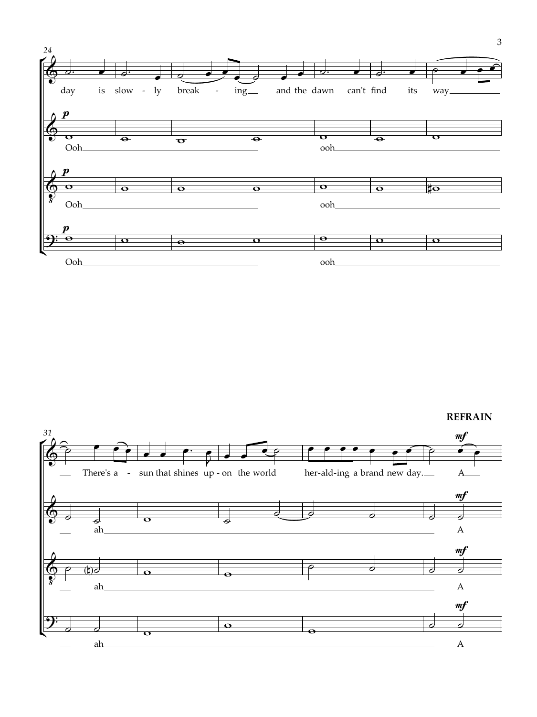

**REFRAIN** 

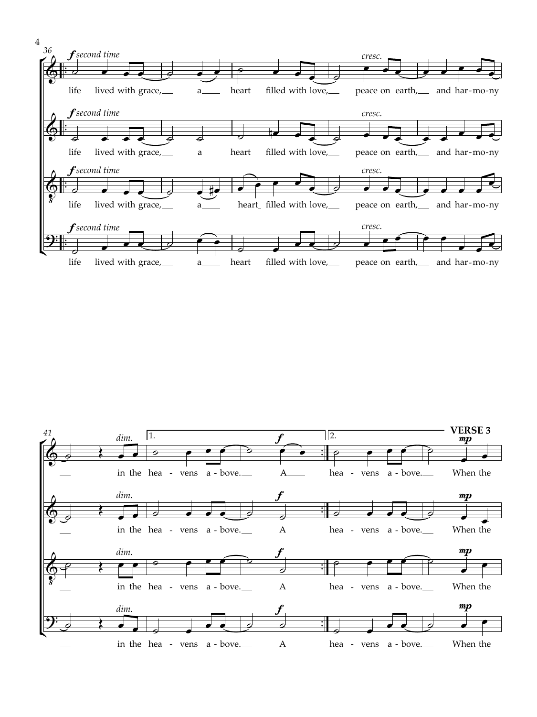

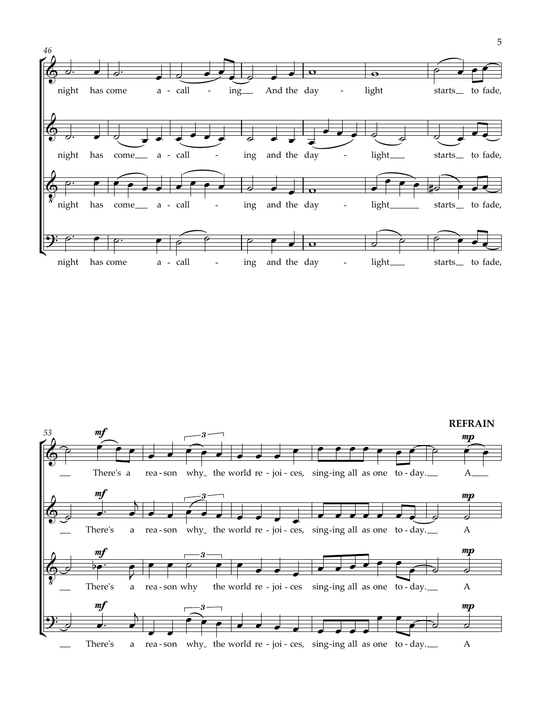

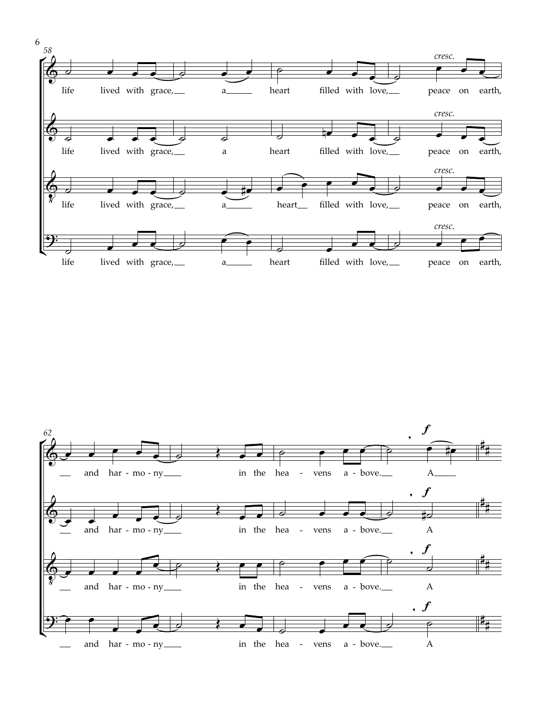